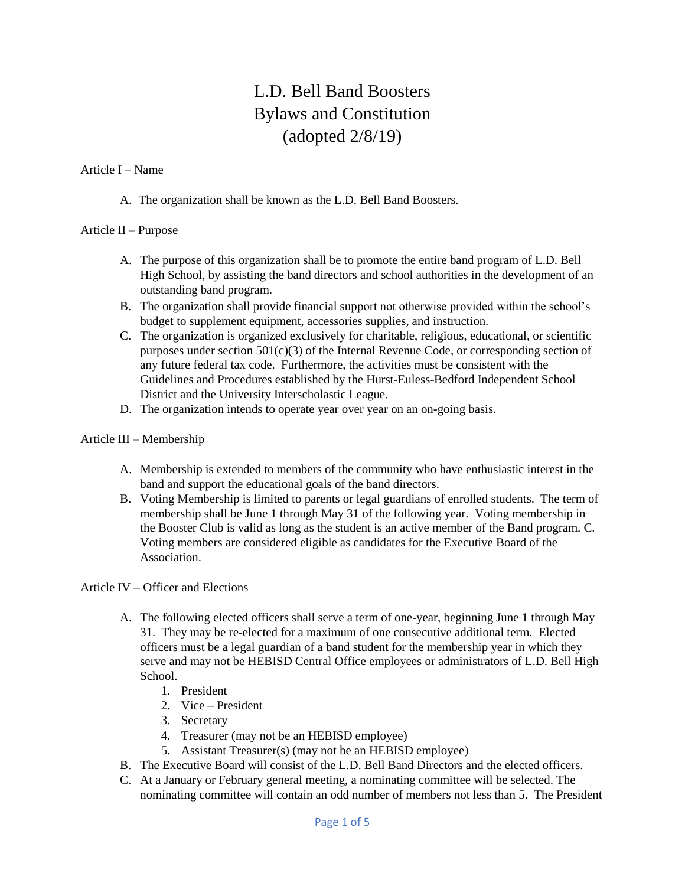# L.D. Bell Band Boosters Bylaws and Constitution (adopted 2/8/19)

#### Article I – Name

A. The organization shall be known as the L.D. Bell Band Boosters.

## Article II – Purpose

- A. The purpose of this organization shall be to promote the entire band program of L.D. Bell High School, by assisting the band directors and school authorities in the development of an outstanding band program.
- B. The organization shall provide financial support not otherwise provided within the school's budget to supplement equipment, accessories supplies, and instruction.
- C. The organization is organized exclusively for charitable, religious, educational, or scientific purposes under section 501(c)(3) of the Internal Revenue Code, or corresponding section of any future federal tax code. Furthermore, the activities must be consistent with the Guidelines and Procedures established by the Hurst-Euless-Bedford Independent School District and the University Interscholastic League.
- D. The organization intends to operate year over year on an on-going basis.

## Article III – Membership

- A. Membership is extended to members of the community who have enthusiastic interest in the band and support the educational goals of the band directors.
- B. Voting Membership is limited to parents or legal guardians of enrolled students. The term of membership shall be June 1 through May 31 of the following year. Voting membership in the Booster Club is valid as long as the student is an active member of the Band program. C. Voting members are considered eligible as candidates for the Executive Board of the Association.

# Article IV – Officer and Elections

- A. The following elected officers shall serve a term of one-year, beginning June 1 through May 31. They may be re-elected for a maximum of one consecutive additional term. Elected officers must be a legal guardian of a band student for the membership year in which they serve and may not be HEBISD Central Office employees or administrators of L.D. Bell High School.
	- 1. President
	- 2. Vice President
	- 3. Secretary
	- 4. Treasurer (may not be an HEBISD employee)
	- 5. Assistant Treasurer(s) (may not be an HEBISD employee)
- B. The Executive Board will consist of the L.D. Bell Band Directors and the elected officers.
- C. At a January or February general meeting, a nominating committee will be selected. The nominating committee will contain an odd number of members not less than 5. The President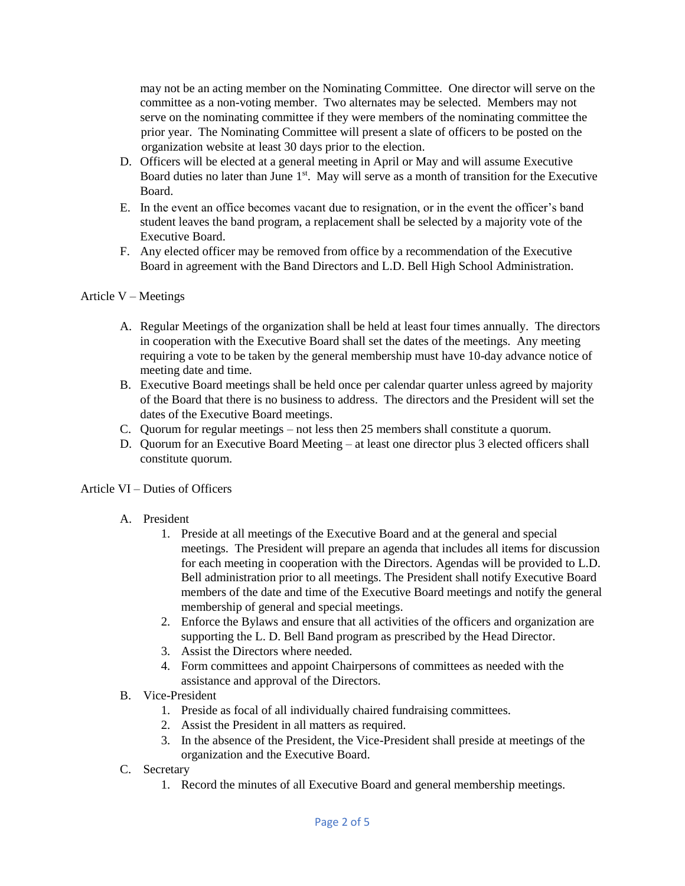may not be an acting member on the Nominating Committee. One director will serve on the committee as a non-voting member. Two alternates may be selected. Members may not serve on the nominating committee if they were members of the nominating committee the prior year. The Nominating Committee will present a slate of officers to be posted on the organization website at least 30 days prior to the election.

- D. Officers will be elected at a general meeting in April or May and will assume Executive Board duties no later than June 1<sup>st</sup>. May will serve as a month of transition for the Executive Board.
- E. In the event an office becomes vacant due to resignation, or in the event the officer's band student leaves the band program, a replacement shall be selected by a majority vote of the Executive Board.
- F. Any elected officer may be removed from office by a recommendation of the Executive Board in agreement with the Band Directors and L.D. Bell High School Administration.

# Article V – Meetings

- A. Regular Meetings of the organization shall be held at least four times annually. The directors in cooperation with the Executive Board shall set the dates of the meetings. Any meeting requiring a vote to be taken by the general membership must have 10-day advance notice of meeting date and time.
- B. Executive Board meetings shall be held once per calendar quarter unless agreed by majority of the Board that there is no business to address. The directors and the President will set the dates of the Executive Board meetings.
- C. Quorum for regular meetings not less then 25 members shall constitute a quorum.
- D. Quorum for an Executive Board Meeting at least one director plus 3 elected officers shall constitute quorum.

#### Article VI – Duties of Officers

- A. President
	- 1. Preside at all meetings of the Executive Board and at the general and special meetings. The President will prepare an agenda that includes all items for discussion for each meeting in cooperation with the Directors. Agendas will be provided to L.D. Bell administration prior to all meetings. The President shall notify Executive Board members of the date and time of the Executive Board meetings and notify the general membership of general and special meetings.
	- 2. Enforce the Bylaws and ensure that all activities of the officers and organization are supporting the L. D. Bell Band program as prescribed by the Head Director.
	- 3. Assist the Directors where needed.
	- 4. Form committees and appoint Chairpersons of committees as needed with the assistance and approval of the Directors.
- B. Vice-President
	- 1. Preside as focal of all individually chaired fundraising committees.
	- 2. Assist the President in all matters as required.
	- 3. In the absence of the President, the Vice-President shall preside at meetings of the organization and the Executive Board.
- C. Secretary
	- 1. Record the minutes of all Executive Board and general membership meetings.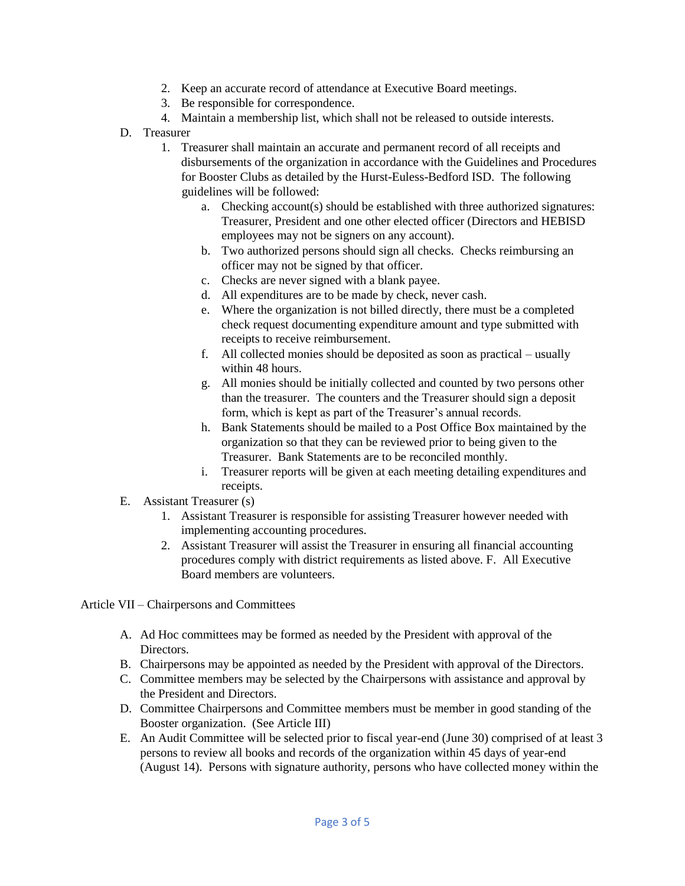- 2. Keep an accurate record of attendance at Executive Board meetings.
- 3. Be responsible for correspondence.
- 4. Maintain a membership list, which shall not be released to outside interests.
- D. Treasurer
	- 1. Treasurer shall maintain an accurate and permanent record of all receipts and disbursements of the organization in accordance with the Guidelines and Procedures for Booster Clubs as detailed by the Hurst-Euless-Bedford ISD. The following guidelines will be followed:
		- a. Checking account(s) should be established with three authorized signatures: Treasurer, President and one other elected officer (Directors and HEBISD employees may not be signers on any account).
		- b. Two authorized persons should sign all checks. Checks reimbursing an officer may not be signed by that officer.
		- c. Checks are never signed with a blank payee.
		- d. All expenditures are to be made by check, never cash.
		- e. Where the organization is not billed directly, there must be a completed check request documenting expenditure amount and type submitted with receipts to receive reimbursement.
		- f. All collected monies should be deposited as soon as practical usually within 48 hours.
		- g. All monies should be initially collected and counted by two persons other than the treasurer. The counters and the Treasurer should sign a deposit form, which is kept as part of the Treasurer's annual records.
		- h. Bank Statements should be mailed to a Post Office Box maintained by the organization so that they can be reviewed prior to being given to the Treasurer. Bank Statements are to be reconciled monthly.
		- i. Treasurer reports will be given at each meeting detailing expenditures and receipts.
- E. Assistant Treasurer (s)
	- 1. Assistant Treasurer is responsible for assisting Treasurer however needed with implementing accounting procedures.
	- 2. Assistant Treasurer will assist the Treasurer in ensuring all financial accounting procedures comply with district requirements as listed above. F. All Executive Board members are volunteers.

Article VII – Chairpersons and Committees

- A. Ad Hoc committees may be formed as needed by the President with approval of the Directors.
- B. Chairpersons may be appointed as needed by the President with approval of the Directors.
- C. Committee members may be selected by the Chairpersons with assistance and approval by the President and Directors.
- D. Committee Chairpersons and Committee members must be member in good standing of the Booster organization. (See Article III)
- E. An Audit Committee will be selected prior to fiscal year-end (June 30) comprised of at least 3 persons to review all books and records of the organization within 45 days of year-end (August 14). Persons with signature authority, persons who have collected money within the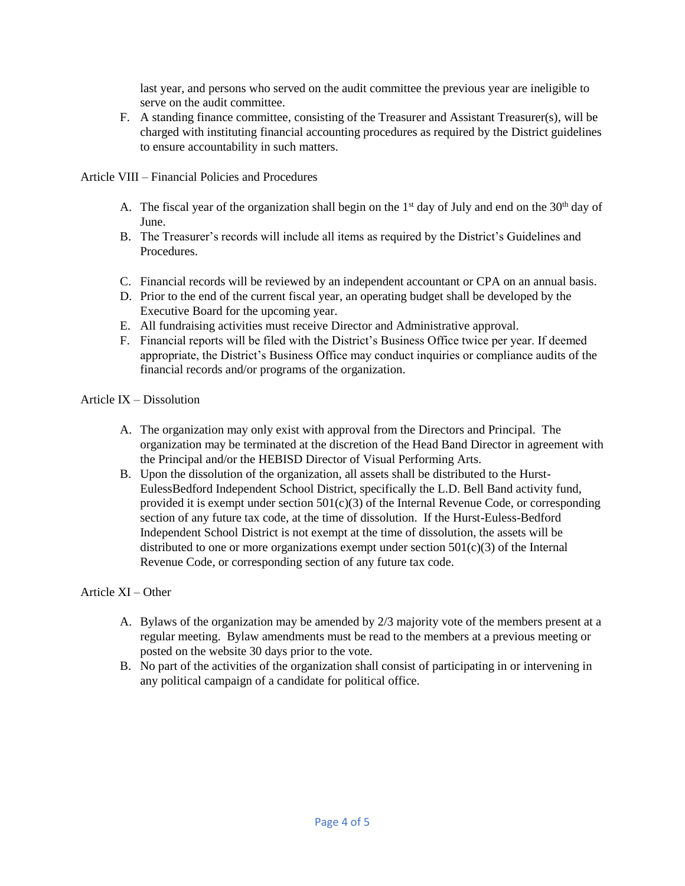last year, and persons who served on the audit committee the previous year are ineligible to serve on the audit committee.

F. A standing finance committee, consisting of the Treasurer and Assistant Treasurer(s), will be charged with instituting financial accounting procedures as required by the District guidelines to ensure accountability in such matters.

Article VIII – Financial Policies and Procedures

- A. The fiscal year of the organization shall begin on the  $1<sup>st</sup>$  day of July and end on the  $30<sup>th</sup>$  day of June.
- B. The Treasurer's records will include all items as required by the District's Guidelines and Procedures.
- C. Financial records will be reviewed by an independent accountant or CPA on an annual basis.
- D. Prior to the end of the current fiscal year, an operating budget shall be developed by the Executive Board for the upcoming year.
- E. All fundraising activities must receive Director and Administrative approval.
- F. Financial reports will be filed with the District's Business Office twice per year. If deemed appropriate, the District's Business Office may conduct inquiries or compliance audits of the financial records and/or programs of the organization.

## Article IX – Dissolution

- A. The organization may only exist with approval from the Directors and Principal. The organization may be terminated at the discretion of the Head Band Director in agreement with the Principal and/or the HEBISD Director of Visual Performing Arts.
- B. Upon the dissolution of the organization, all assets shall be distributed to the Hurst-EulessBedford Independent School District, specifically the L.D. Bell Band activity fund, provided it is exempt under section  $501(c)(3)$  of the Internal Revenue Code, or corresponding section of any future tax code, at the time of dissolution. If the Hurst-Euless-Bedford Independent School District is not exempt at the time of dissolution, the assets will be distributed to one or more organizations exempt under section 501(c)(3) of the Internal Revenue Code, or corresponding section of any future tax code.

# Article XI – Other

- A. Bylaws of the organization may be amended by 2/3 majority vote of the members present at a regular meeting. Bylaw amendments must be read to the members at a previous meeting or posted on the website 30 days prior to the vote.
- B. No part of the activities of the organization shall consist of participating in or intervening in any political campaign of a candidate for political office.